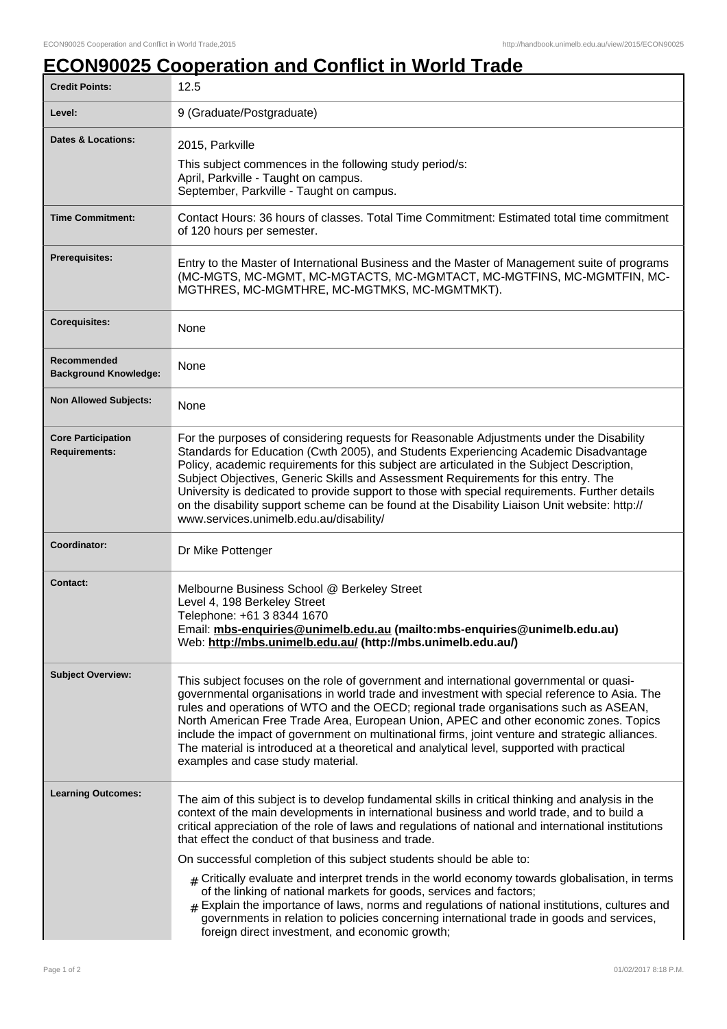## **ECON90025 Cooperation and Conflict in World Trade**

| <b>Credit Points:</b>                             | 12.5                                                                                                                                                                                                                                                                                                                                                                                                                                                                                                                                                                                                               |
|---------------------------------------------------|--------------------------------------------------------------------------------------------------------------------------------------------------------------------------------------------------------------------------------------------------------------------------------------------------------------------------------------------------------------------------------------------------------------------------------------------------------------------------------------------------------------------------------------------------------------------------------------------------------------------|
| Level:                                            | 9 (Graduate/Postgraduate)                                                                                                                                                                                                                                                                                                                                                                                                                                                                                                                                                                                          |
| <b>Dates &amp; Locations:</b>                     | 2015, Parkville<br>This subject commences in the following study period/s:<br>April, Parkville - Taught on campus.<br>September, Parkville - Taught on campus.                                                                                                                                                                                                                                                                                                                                                                                                                                                     |
| <b>Time Commitment:</b>                           | Contact Hours: 36 hours of classes. Total Time Commitment: Estimated total time commitment<br>of 120 hours per semester.                                                                                                                                                                                                                                                                                                                                                                                                                                                                                           |
| <b>Prerequisites:</b>                             | Entry to the Master of International Business and the Master of Management suite of programs<br>(MC-MGTS, MC-MGMT, MC-MGTACTS, MC-MGMTACT, MC-MGTFINS, MC-MGMTFIN, MC-<br>MGTHRES, MC-MGMTHRE, MC-MGTMKS, MC-MGMTMKT).                                                                                                                                                                                                                                                                                                                                                                                             |
| <b>Corequisites:</b>                              | None                                                                                                                                                                                                                                                                                                                                                                                                                                                                                                                                                                                                               |
| Recommended<br><b>Background Knowledge:</b>       | None                                                                                                                                                                                                                                                                                                                                                                                                                                                                                                                                                                                                               |
| <b>Non Allowed Subjects:</b>                      | None                                                                                                                                                                                                                                                                                                                                                                                                                                                                                                                                                                                                               |
| <b>Core Participation</b><br><b>Requirements:</b> | For the purposes of considering requests for Reasonable Adjustments under the Disability<br>Standards for Education (Cwth 2005), and Students Experiencing Academic Disadvantage<br>Policy, academic requirements for this subject are articulated in the Subject Description,<br>Subject Objectives, Generic Skills and Assessment Requirements for this entry. The<br>University is dedicated to provide support to those with special requirements. Further details<br>on the disability support scheme can be found at the Disability Liaison Unit website: http://<br>www.services.unimelb.edu.au/disability/ |
| Coordinator:                                      | Dr Mike Pottenger                                                                                                                                                                                                                                                                                                                                                                                                                                                                                                                                                                                                  |
| <b>Contact:</b>                                   | Melbourne Business School @ Berkeley Street<br>Level 4, 198 Berkeley Street<br>Telephone: +61 3 8344 1670<br>Email: mbs-enquiries@unimelb.edu.au (mailto:mbs-enquiries@unimelb.edu.au)<br>Web: http://mbs.unimelb.edu.au/ (http://mbs.unimelb.edu.au/)                                                                                                                                                                                                                                                                                                                                                             |
| <b>Subject Overview:</b>                          | This subject focuses on the role of government and international governmental or quasi-<br>governmental organisations in world trade and investment with special reference to Asia. The<br>rules and operations of WTO and the OECD; regional trade organisations such as ASEAN,<br>North American Free Trade Area, European Union, APEC and other economic zones. Topics<br>include the impact of government on multinational firms, joint venture and strategic alliances.<br>The material is introduced at a theoretical and analytical level, supported with practical<br>examples and case study material.    |
| <b>Learning Outcomes:</b>                         | The aim of this subject is to develop fundamental skills in critical thinking and analysis in the<br>context of the main developments in international business and world trade, and to build a<br>critical appreciation of the role of laws and regulations of national and international institutions<br>that effect the conduct of that business and trade.                                                                                                                                                                                                                                                     |
|                                                   | On successful completion of this subject students should be able to:                                                                                                                                                                                                                                                                                                                                                                                                                                                                                                                                               |
|                                                   | $#$ Critically evaluate and interpret trends in the world economy towards globalisation, in terms<br>of the linking of national markets for goods, services and factors;<br>$#$ Explain the importance of laws, norms and regulations of national institutions, cultures and<br>governments in relation to policies concerning international trade in goods and services,<br>foreign direct investment, and economic growth;                                                                                                                                                                                       |